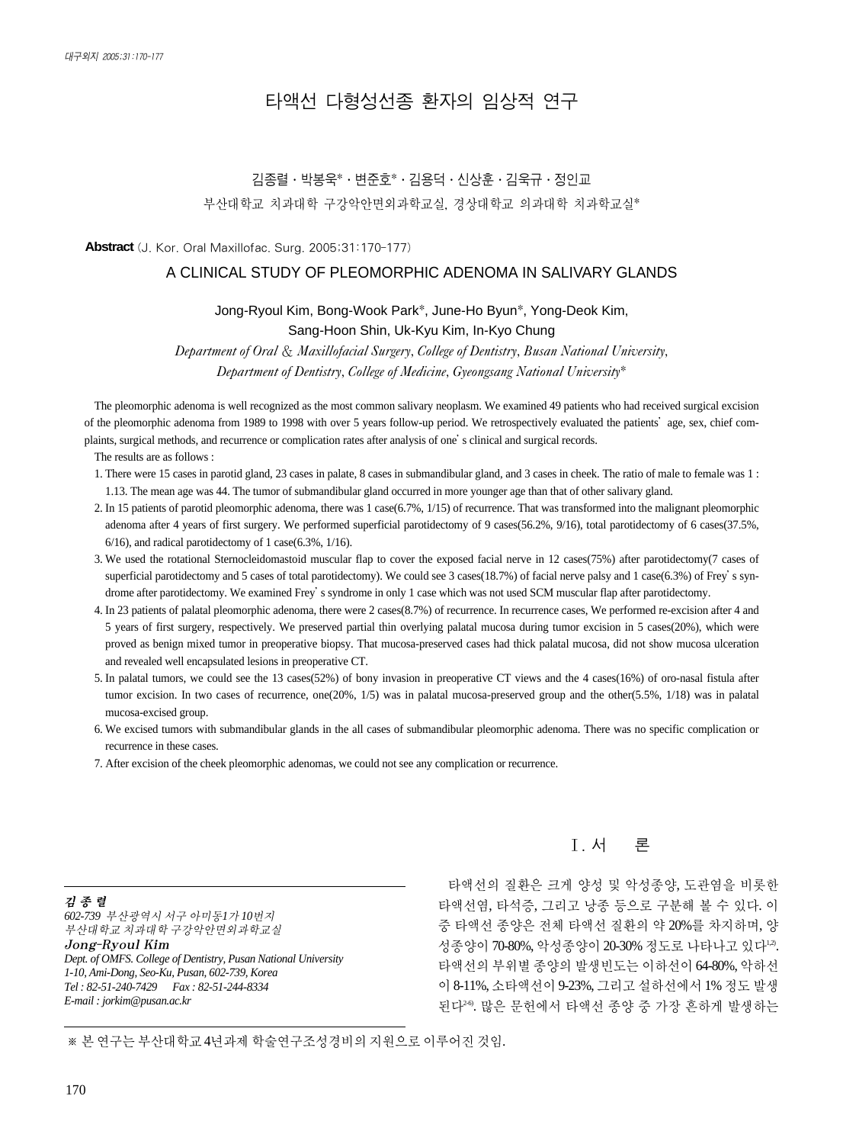# 타액선 다형성선종 환자의 임상적 연구

# 김종렬∙박봉욱\*∙변준호\*∙김용덕∙신상훈∙김욱규∙정인교 부산대학교 치과대학 구강악안면외과학교실, 경상대학교 의과대학 치과학교실\*

**Abstract** (J. Kor. Oral Maxillofac. Surg. 2005;31:170-177)

#### A CLINICAL STUDY OF PLEOMORPHIC ADENOMA IN SALIVARY GLANDS

#### Jong-Ryoul Kim, Bong-Wook Park\*, June-Ho Byun\*, Yong-Deok Kim,

Sang-Hoon Shin, Uk-Kyu Kim, In-Kyo Chung

*Department of Oral* & *Maxillofacial Surgery, College of Dentistry, Busan National University, Department of Dentistry, College of Medicine, Gyeongsang National University*\*

The pleomorphic adenoma is well recognized as the most common salivary neoplasm. We examined 49 patients who had received surgical excision of the pleomorphic adenoma from 1989 to 1998 with over 5 years follow-up period. We retrospectively evaluated the patients'age, sex, chief complaints, surgical methods, and recurrence or complication rates after analysis of one's clinical and surgical records.

The results are as follows :

- 1. There were 15 cases in parotid gland, 23 cases in palate, 8 cases in submandibular gland, and 3 cases in cheek. The ratio of male to female was 1 : 1.13. The mean age was 44. The tumor of submandibular gland occurred in more younger age than that of other salivary gland.
- 2. In 15 patients of parotid pleomorphic adenoma, there was 1 case(6.7%, 1/15) of recurrence. That was transformed into the malignant pleomorphic adenoma after 4 years of first surgery. We performed superficial parotidectomy of 9 cases(56.2%, 9/16), total parotidectomy of 6 cases(37.5%, 6/16), and radical parotidectomy of 1 case(6.3%, 1/16).
- 3. We used the rotational Sternocleidomastoid muscular flap to cover the exposed facial nerve in 12 cases(75%) after parotidectomy(7 cases of superficial parotidectomy and 5 cases of total parotidectomy). We could see 3 cases(18.7%) of facial nerve palsy and 1 case(6.3%) of Frey's syndrome after parotidectomy. We examined Frey's syndrome in only 1 case which was not used SCM muscular flap after parotidectomy.
- 4. In 23 patients of palatal pleomorphic adenoma, there were 2 cases(8.7%) of recurrence. In recurrence cases, We performed re-excision after 4 and 5 years of first surgery, respectively. We preserved partial thin overlying palatal mucosa during tumor excision in 5 cases(20%), which were proved as benign mixed tumor in preoperative biopsy. That mucosa-preserved cases had thick palatal mucosa, did not show mucosa ulceration and revealed well encapsulated lesions in preoperative CT.
- 5. In palatal tumors, we could see the 13 cases(52%) of bony invasion in preoperative CT views and the 4 cases(16%) of oro-nasal fistula after tumor excision. In two cases of recurrence, one(20%, 1/5) was in palatal mucosa-preserved group and the other(5.5%, 1/18) was in palatal mucosa-excised group.
- 6. We excised tumors with submandibular glands in the all cases of submandibular pleomorphic adenoma. There was no specific complication or recurrence in these cases.
- 7. After excision of the cheek pleomorphic adenomas, we could not see any complication or recurrence.

김종렬 *602-739* 부산광역시 서구 아미동*1*가 *10*번지 부산대학교 치과대학 구강악안면외과학교실 Jong-Ryoul Kim *Dept. of OMFS. College of Dentistry, Pusan National University 1-10, Ami-Dong, Seo-Ku, Pusan, 602-739, Korea Tel : 82-51-240-7429 Fax : 82-51-244-8334 E-mail : jorkim@pusan.ac.kr*

## Ⅰ. 서 론

타액선의 질환은 크게 양성 및 악성종양, 도관염을 비롯한 타액선염, 타석증, 그리고 낭종 등으로 구분해 볼 수 있다. 이 중 타액선 종양은 전체 타액선 질환의 약 20%를 차지하며, 양 성종양이 70-80%, 악성종양이 20-30% 정도로 나타나고 있다<sup>1,2)</sup>. 타액선의 부위별 종양의 발생빈도는 이하선이 64-80%, 악하선 이 8-11%, 소타액선이9-23%, 그리고설하선에서1% 정도 발생 된다<sup>26</sup>. 많은 문헌에서 타액선 종양 중 가장 흔하게 발생하는

※본연구는부산대학교4년과제학술연구조성경비의지원으로이루어진것임.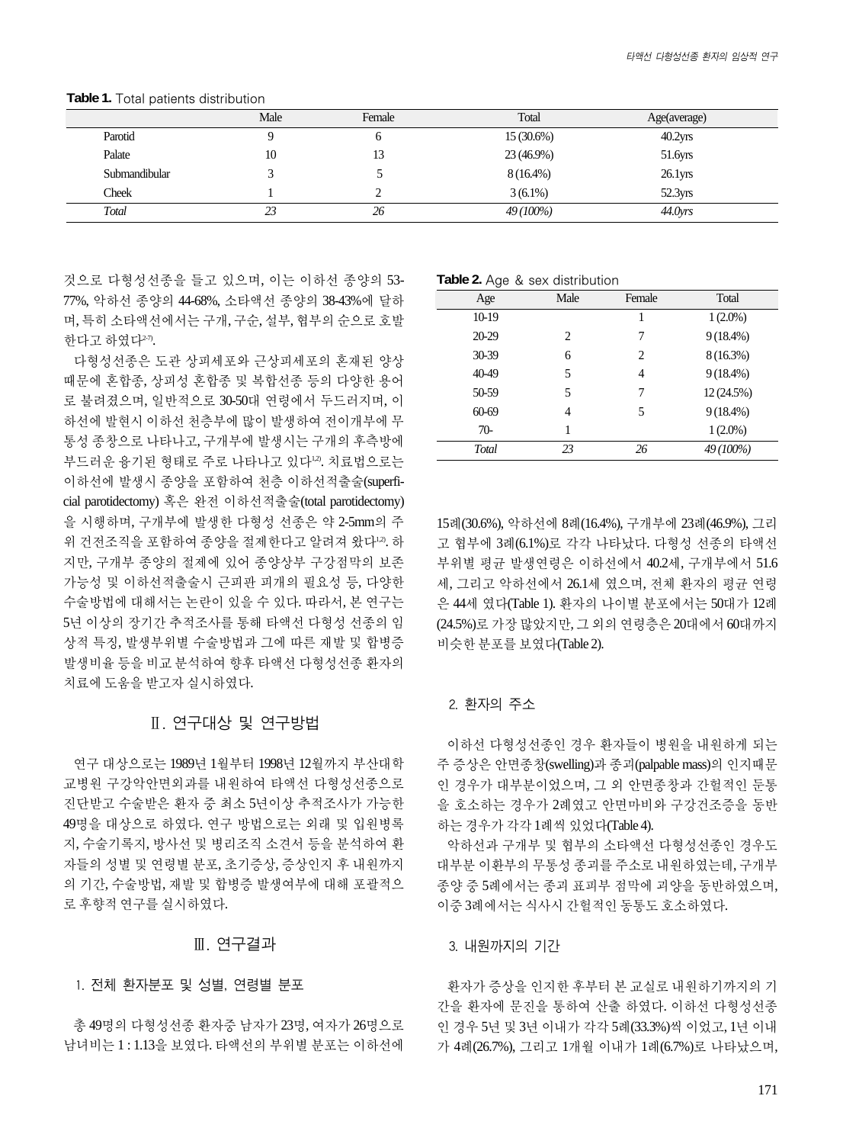|               | Male | Female | Total        | Age(average)        |
|---------------|------|--------|--------------|---------------------|
| Parotid       |      | O      | $15(30.6\%)$ | $40.2$ yrs          |
| Palate        | 10   |        | 23 (46.9%)   | 51.6yrs             |
| Submandibular |      |        | $8(16.4\%)$  | 26.1 <sub>YIS</sub> |
| Cheek         |      |        | $3(6.1\%)$   | 52.3yrs             |
| Total         | 23   | 26     | 49 (100%)    | 44.0 <sub>vrs</sub> |

**Table 1.** Total patients distribution

것으로 다형성선종을 들고 있으며, 이는 이하선 종양의 53- 77%, 악하선 종양의 44-68%, 소타액선 종양의 38-43%에 달하 며, 특히 소타액선에서는 구개, 구순, 설부, 협부의 순으로 호발 한다고 하였다<sup>2-7)</sup>.

다형성선종은 도관 상피세포와 근상피세포의 혼재된 양상 때문에 혼합종, 상피성 혼합종 및 복합선종 등의 다양한 용어 로 불려졌으며, 일반적으로 30-50대 연령에서 두드러지며, 이 하선에 발현시 이하선 천층부에 많이 발생하여 전이개부에 무 통성 종창으로 나타나고, 구개부에 발생시는 구개의 후측방에 부드러운 융기된 형태로 주로 나타나고 있다<sup>1,2</sup>. 치료법으로는 이하선에 발생시 종양을 포함하여 천층 이하선적출술(superficial parotidectomy) 혹은 완전 이하선적출술(total parotidectomy) 을 시행하며, 구개부에 발생한 다형성 선종은 약 2-5mm의 주 위 건전조직을 포함하여 종양을 절제한다고 알려져 왔다<sup>12</sup>. 하 지만, 구개부 종양의 절제에 있어 종양상부 구강점막의 보존 가능성 및 이하선적출술시 근피판 피개의 필요성 등, 다양한 수술방법에 대해서는 논란이 있을 수 있다. 따라서, 본 연구는 5년 이상의 장기간 추적조사를 통해 타액선 다형성 선종의 임 상적 특징, 발생부위별 수술방법과 그에 따른 재발 및 합병증 발생비율 등을 비교 분석하여 향후 타액선 다형성선종 환자의 치료에도움을받고자실시하였다.

## Ⅱ. 연구대상 및 연구방법

연구 대상으로는 1989년 1월부터 1998년 12월까지 부산대학 교병원 구강악안면외과를 내원하여 타액선 다형성선종으로 진단받고 수술받은 환자 중 최소 5년이상 추적조사가 가능한 49명을 대상으로 하였다. 연구 방법으로는 외래 및 입원병록 지, 수술기록지, 방사선 및 병리조직 소견서 등을 분석하여 환 자들의 성별 및 연령별 분포, 초기증상, 증상인지 후 내원까지 의 기간, 수술방법, 재발 및 합병증 발생여부에 대해 포괄적으 로 후향적 연구를 실시하였다.

#### Ⅲ. 연구결과

#### 1. 전체 환자분포 및 성별, 연령별 분포

총 49명의 다형성선종 환자중 남자가 23명, 여자가 26명으로 남녀비는 1 : 1.13을 보였다. 타액선의 부위별 분포는 이하선에

**Table 2.** Age & sex distribution

| Age   | Male                          | Female | Total       |
|-------|-------------------------------|--------|-------------|
| 10-19 |                               | 1      | $1(2.0\%)$  |
| 20-29 | $\mathfrak{D}_{\mathfrak{p}}$ | 7      | $9(18.4\%)$ |
| 30-39 | 6                             | 2      | $8(16.3\%)$ |
| 40-49 | 5                             | 4      | $9(18.4\%)$ |
| 50-59 | 5                             | 7      | 12 (24.5%)  |
| 60-69 | 4                             | 5      | $9(18.4\%)$ |
| $70-$ |                               |        | $1(2.0\%)$  |
| Total | 23                            | 26     | 49 (100%)   |

15례(30.6%), 악하선에 8례(16.4%), 구개부에 23례(46.9%), 그리 고 협부에 3례(6.1%)로 각각 나타났다. 다형성 선종의 타액선 부위별 평균 발생연령은 이하선에서 40.2세, 구개부에서 51.6 세, 그리고 악하선에서 26.1세 였으며, 전체 환자의 평균 연령 은 44세 였다(Table 1). 환자의 나이별 분포에서는 50대가 12례 (24.5%)로 가장 많았지만, 그 외의 연령층은 20대에서 60대까지 비슷한분포를보였다(Table 2).

#### 2. 환자의 주소

이하선 다형성선종인 경우 환자들이 병원을 내원하게 되는 주 증상은 안면종창(swelling)과 종괴(palpable mass)의 인지때문 인 경우가 대부분이었으며, 그 외 안면종창과 간헐적인 둔통 을 호소하는 경우가 2례였고 안면마비와 구강건조증을 동반 하는 경우가 각각 1례씩 있었다(Table 4).

악하선과 구개부 및 협부의 소타액선 다형성선종인 경우도 대부분 이환부의 무통성 종괴를 주소로 내원하였는데, 구개부 종양 중 5례에서는 종괴 표피부 점막에 괴양을 동반하였으며, 이중 3례에서는 식사시 간헐적인 동통도 호소하였다.

3. 내원까지의 기간

환자가 증상을 인지한 후부터 본 교실로 내원하기까지의 기 간을 환자에 문진을 통하여 산출 하였다. 이하선 다형성선종 인 경우 5년 및 3년 이내가 각각 5례(33.3%)씩 이었고, 1년 이내 가 4례(26.7%), 그리고 1개월 이내가 1례(6.7%)로 나타났으며,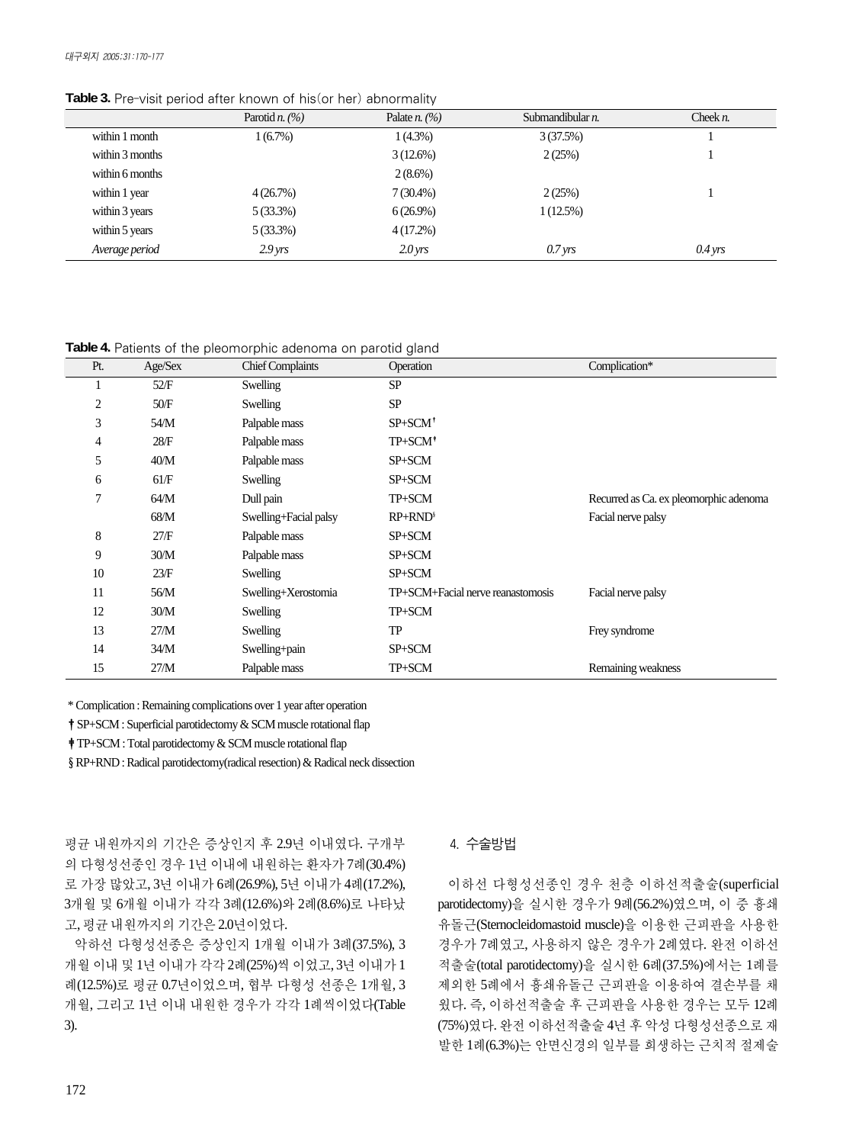**Table 3.** Pre-visit period after known of his(or her) abnormality

|                 | Parotid <i>n</i> . $(\%)$ | Palate <i>n</i> . $(\%)$ | Submandibular <i>n</i> . | Cheek $n$ .       |
|-----------------|---------------------------|--------------------------|--------------------------|-------------------|
| within 1 month  | 1(6.7%)                   | $1(4.3\%)$               | 3(37.5%)                 |                   |
| within 3 months |                           | 3(12.6%)                 | 2(25%)                   |                   |
| within 6 months |                           | $2(8.6\%)$               |                          |                   |
| within 1 year   | 4(26.7%)                  | $7(30.4\%)$              | 2(25%)                   |                   |
| within 3 years  | $5(33.3\%)$               | $6(26.9\%)$              | 1(12.5%)                 |                   |
| within 5 years  | $5(33.3\%)$               | $4(17.2\%)$              |                          |                   |
| Average period  | $2.9 \, \text{yrs}$       | $2.0 \,\mathrm{yrs}$     | $0.7 \,\mathrm{yrs}$     | $0.4 \text{ yrs}$ |

**Table 4.** Patients of the pleomorphic adenoma on parotid gland

| Pt. | Age/Sex | <b>Chief Complaints</b> | Operation                         | Complication*                          |
|-----|---------|-------------------------|-----------------------------------|----------------------------------------|
|     | 52/F    | Swelling                | <b>SP</b>                         |                                        |
| 2   | 50/F    | Swelling                | <b>SP</b>                         |                                        |
| 3   | 54/M    | Palpable mass           | $SP + SCM^{\dagger}$              |                                        |
| 4   | 28/F    | Palpable mass           | TP+SCM <sup>+</sup>               |                                        |
| 5   | 40/M    | Palpable mass           | SP+SCM                            |                                        |
| 6   | 61/F    | Swelling                | SP+SCM                            |                                        |
| 7   | 64/M    | Dull pain               | TP+SCM                            | Recurred as Ca. ex pleomorphic adenoma |
|     | 68/M    | Swelling+Facial palsy   | $RP+RND^5$                        | Facial nerve palsy                     |
| 8   | 27/F    | Palpable mass           | SP+SCM                            |                                        |
| 9   | 30/M    | Palpable mass           | SP+SCM                            |                                        |
| 10  | 23/F    | Swelling                | SP+SCM                            |                                        |
| 11  | 56/M    | Swelling+Xerostomia     | TP+SCM+Facial nerve reanastomosis | Facial nerve palsy                     |
| 12  | 30/M    | Swelling                | TP+SCM                            |                                        |
| 13  | 27/M    | Swelling                | TP                                | Frey syndrome                          |
| 14  | 34/M    | Swelling+pain           | SP+SCM                            |                                        |
| 15  | 27/M    | Palpable mass           | TP+SCM                            | Remaining weakness                     |

\* Complication : Remaining complications over 1 year after operation

�SP+SCM : Superficial parotidectomy & SCM muscle rotational flap

�TP+SCM : Total parotidectomy & SCM muscle rotational flap

§RP+RND : Radical parotidectomy(radical resection) & Radical neck dissection

평균 내원까지의 기간은 증상인지 후 2.9년 이내였다. 구개부 의 다형성선종인 경우 1년 이내에 내원하는 환자가 7례(30.4%) 로 가장 많았고, 3년 이내가 6례(26.9%), 5년 이내가 4례(17.2%), 3개월 및 6개월 이내가 각각 3례(12.6%)와 2례(8.6%)로 나타났 고, 평균 내원까지의 기간은 2.0년이었다.

악하선 다형성선종은 증상인지 1개월 이내가 3례(37.5%), 3 개월 이내 및 1년 이내가 각각 2례(25%)씩 이었고, 3년 이내가 1 례(12.5%)로 평균 0.7년이었으며, 협부 다형성 선종은 1개월, 3 개월, 그리고 1년 이내 내원한 경우가 각각 1례씩이었다(Table 3).

### 4. 수술방법

이하선 다형성선종인 경우 천층 이하선적출술(superficial parotidectomy)을 실시한 경우가 9례(56.2%)였으며, 이 중 흉쇄 유돌근(Sternocleidomastoid muscle)을 이용한 근피판을 사용한 경우가 7례였고, 사용하지 않은 경우가 2례였다. 완전 이하선 적출술(total parotidectomy)을 실시한 6례(37.5%)에서는 1례를 제외한 5례에서 흉쇄유돌근 근피판을 이용하여 결손부를 채 웠다. 즉, 이하선적출술 후 근피판을 사용한 경우는 모두 12례 (75%)였다. 완전이하선적출술4년후악성다형성선종으로재 발한 1례(6.3%)는 안면신경의 일부를 희생하는 근치적 절제술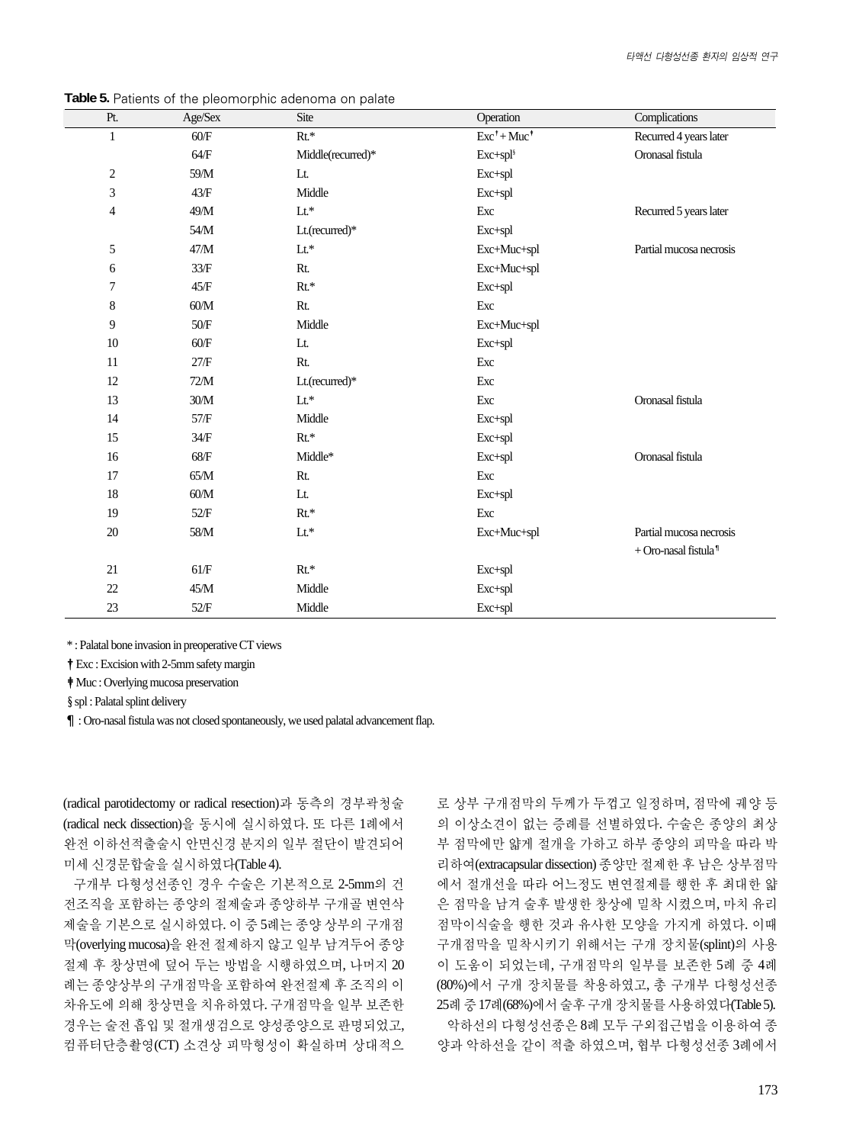| Pt.          | Age/Sex | Site              | Operation                     | Complications                    |
|--------------|---------|-------------------|-------------------------------|----------------------------------|
| $\mathbf{1}$ | 60/F    | $Rt.*$            | $Exc^{\dagger}+Muc^{\dagger}$ | Recurred 4 years later           |
|              | 64/F    | Middle(recurred)* | Exc+spl <sup>§</sup>          | Oronasal fistula                 |
| 2            | 59/M    | Lt.               | Exc+spl                       |                                  |
| 3            | 43/F    | Middle            | Exc+spl                       |                                  |
| 4            | 49/M    | $Lt^*$            | Exc                           | Recurred 5 years later           |
|              | 54/M    | Lt.(recurred)*    | Exc+spl                       |                                  |
| 5            | 47/M    | $Lt^*$            | Exc+Muc+spl                   | Partial mucosa necrosis          |
| 6            | 33/F    | Rt.               | Exc+Muc+spl                   |                                  |
| 7            | 45/F    | $Rt.*$            | Exc+spl                       |                                  |
| 8            | 60/M    | Rt.               | Exc                           |                                  |
| 9            | $50/F$  | Middle            | Exc+Muc+spl                   |                                  |
| 10           | 60/F    | Lt.               | Exc+spl                       |                                  |
| 11           | 27/F    | Rt.               | Exc                           |                                  |
| 12           | 72/M    | Lt.(recurred)*    | Exc                           |                                  |
| 13           | 30/M    | $Lt^*$            | Exc                           | Oronasal fistula                 |
| 14           | 57/F    | Middle            | Exc+spl                       |                                  |
| 15           | 34/F    | $Rt.*$            | Exc+spl                       |                                  |
| 16           | $68/F$  | Middle*           | Exc+spl                       | Oronasal fistula                 |
| 17           | $65/M$  | Rt.               | Exc                           |                                  |
| 18           | 60/M    | Lt.               | Exc+spl                       |                                  |
| 19           | 52/F    | $Rt^*$            | Exc                           |                                  |
| $20\,$       | $58/M$  | $Lt^*$            | Exc+Muc+spl                   | Partial mucosa necrosis          |
|              |         |                   |                               | + Oro-nasal fistula <sup>1</sup> |
| 21           | 61/F    | $Rt^*$            | Exc+spl                       |                                  |
| 22           | $45/M$  | Middle            | Exc+spl                       |                                  |
| 23           | $52/F$  | Middle            | Exc+spl                       |                                  |

**Table 5.** Patients of the pleomorphic adenoma on palate

\* : Palatal bone invasion in preoperative CT views

�Exc : Excision with 2-5mm safety margin

�Muc : Overlying mucosa preservation

§ spl : Palatal splint delivery

¶: Oro-nasal fistula was not closed spontaneously, we used palatal advancement flap.

(radical parotidectomy or radical resection)과 동측의 경부곽청술 (radical neck dissection)을 동시에 실시하였다. 또 다른 1례에서 완전 이하선적출술시 안면신경 분지의 일부 절단이 발견되어 미세신경문합술을실시하였다(Table 4).

구개부 다형성선종인 경우 수술은 기본적으로 2-5mm의 건 전조직을 포함하는 종양의 절제술과 종양하부 구개골 변연삭 제술을 기본으로 실시하였다. 이 중 5례는 종양 상부의 구개점 막(overlying mucosa)을완전절제하지않고일부남겨두어종양 절제 후 창상면에 덮어 두는 방법을 시행하였으며, 나머지 20 례는 종양상부의 구개점막을 포함하여 완전절제 후 조직의 이 차유도에 의해 창상면을 치유하였다. 구개점막을 일부 보존한 경우는 술전 흡입 및 절개생검으로 양성종양으로 판명되었고, 컴퓨터단층촬영(CT) 소견상 피막형성이 확실하며 상대적으

로 상부 구개점막의 두께가 두껍고 일정하며, 점막에 궤양 등 의 이상소견이 없는 증례를 선별하였다. 수술은 종양의 최상 부 점막에만 얇게 절개을 가하고 하부 종양의 피막을 따라 박 리하여(extracapsular dissection) 종양만 절제한 후 남은 상부점막 에서 절개선을 따라 어느정도 변연절제를 행한 후 최대한 얇 은 점막을 남겨 술후 발생한 창상에 밀착 시켰으며, 마치 유리 점막이식술을 행한 것과 유사한 모양을 가지게 하였다. 이때 구개점막을 밀착시키기 위해서는 구개 장치물(splint)의 사용 이 도움이 되었는데, 구개점막의 일부를 보존한 5례 중 4례 (80%)에서 구개 장치물를 착용하였고, 총 구개부 다형성선종 25례 중 17례(68%)에서 술후 구개 장치물를 사용하였다(Table 5). 악하선의다형성선종은 8례 모두 구외접근법을이용하여 종 양과 악하선을 같이 적출 하였으며, 협부 다형성선종 3례에서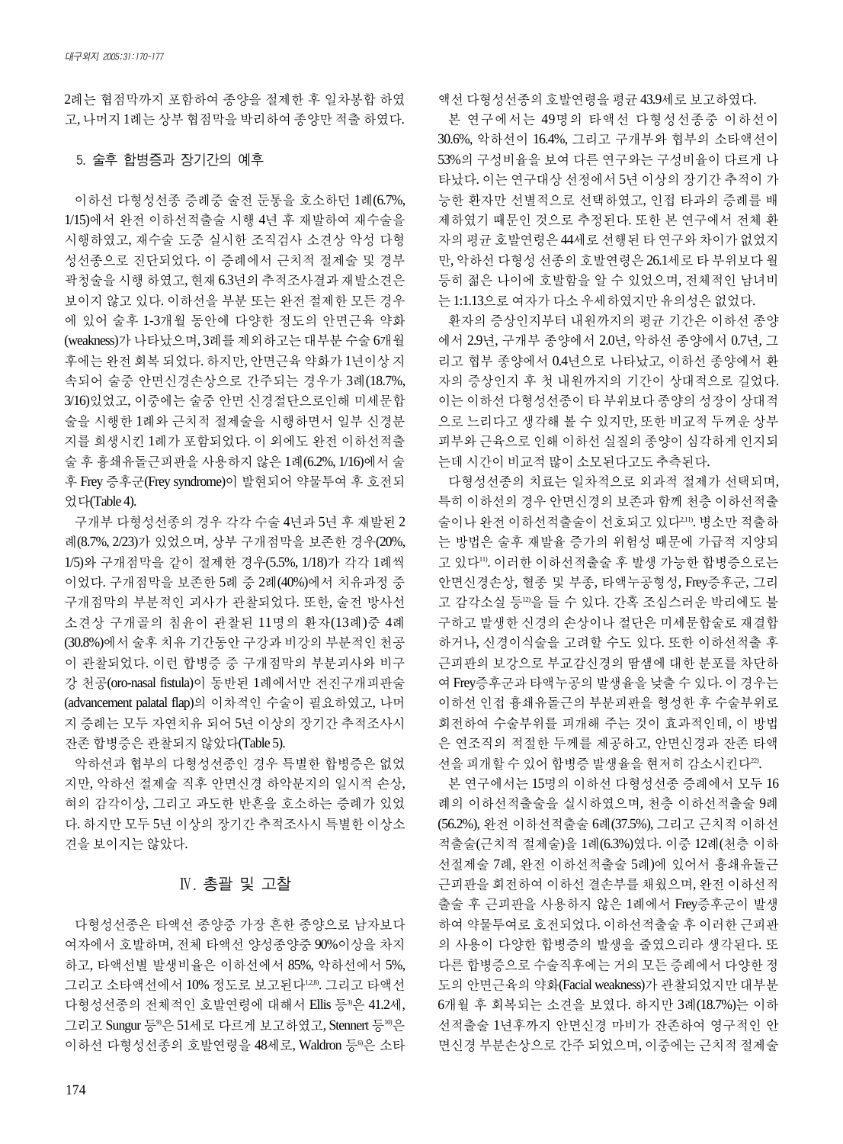2례는 협점막까지 포함하여 종양을 절제한 후 일차봉합 하였 고, 나머지 1례는 상부 협점막을 박리하여 종양만 적출 하였다.

#### 5. 술후 합병증과 장기간의 예후

이하선 다형성선종 증례중 술전 둔통을 호소하던 1례(6.7%, 1/15)에서 완전 이하선적출술 시행 4년 후 재발하여 재수술을 시행하였고, 재수술 도중 실시한 조직검사 소견상 악성 다형 성선종으로 진단되었다. 이 증례에서 근치적 절제술 및 경부 곽청술을시행하였고, 현재6.3년의추적조사결과재발소견은 보이지 않고 있다. 이하선을 부분 또는 완전 절제한 모든 경우 에 있어 술후 1-3개월 동안에 다양한 정도의 안면근육 약화 (weakness)가 나타났으며, 3례를 제외하고는 대부분 수술 6개월 후에는 완전 회복 되었다. 하지만, 안면근육 약화가 1년이상 지 속되어 술중 안면신경손상으로 간주되는 경우가 3례(18.7%, 3/16)있었고, 이중에는 술중 안면 신경절단으로인해 미세문합 술을 시행한 1례와 근치적 절제술을 시행하면서 일부 신경분 지를 희생시킨 1례가 포함되었다. 이 외에도 완전 이하선적출 술 후 흉쇄유돌근피판을 사용하지 않은 1례(6.2%, 1/16)에서 술 후 Frey 증후군(Frey syndrome)이 발현되어 약물투여 후 호전되 었다(Table 4).

구개부 다형성선종의 경우 각각 수술 4년과 5년 후 재발된 2 례(8.7%, 2/23)가 있었으며, 상부 구개점막을 보존한 경우(20%, 1/5)와 구개점막을 같이 절제한 경우(5.5%, 1/18)가 각각 1례씩 이었다. 구개점막을 보존한 5례 중 2례(40%)에서 치유과정 중 구개점막의 부분적인 괴사가 관찰되었다. 또한, 술전 방사선 소견상 구개골의 침윤이 관찰된 11명의 환자(13례)중 4례 (30.8%)에서 술후 치유 기간동안 구강과 비강의 부분적인 천공 이 관찰되었다. 이런 합병증 중 구개점막의 부분괴사와 비구 강 천공(oro-nasal fistula)이 동반된 1례에서만 전진구개피판술 (advancement palatal flap)의 이차적인 수술이 필요하였고, 나머 지 증례는 모두 자연치유 되어 5년 이상의 장기간 추적조사시 잔존합병증은관찰되지않았다(Table 5).

악하선과 협부의 다형성선종인 경우 특별한 합병증은 없었 지만, 악하선 절제술 직후 안면신경 하악분지의 일시적 손상, 혀의 감각이상, 그리고 과도한 반흔을 호소하는 증례가 있었 다. 하지만 모두 5년 이상의 장기간 추적조사시 특별한 이상소 견을 보이지는 않았다.

#### Ⅳ. 총괄 및 고찰

다형성선종은 타액선 종양중 가장 흔한 종양으로 남자보다 여자에서 호발하며, 전체 타액선 양성종양중 90%이상을 차지 하고, 타액선별 발생비율은 이하선에서 85%, 악하선에서 5%, 그리고 소타액선에서 10% 정도로 보고된다1,2,8). 그리고 타액선 다형성선종의 전체적인 호발연령에 대해서 Ellis 등<sup>3</sup>은 41.2세, 그리고 Sungur 등®은 51세로 다르게 보고하였고, Stennert 등®은 이하선 다형성선종의 호발연령을 48세로, Waldron 등®은 소타

174

액선다형성선종의호발연령을평균43.9세로보고하였다.

본 연구에서는 49명의 타액선 다형성선종중 이하선이 30.6%, 악하선이 16.4%, 그리고 구개부와 협부의 소타액선이 53%의 구성비율을 보여 다른 연구와는 구성비율이 다르게 나 타났다. 이는 연구대상 선정에서 5년 이상의 장기간 추적이 가 능한 환자만 선별적으로 선택하였고, 인접 타과의 증례를 배 제하였기 때문인 것으로 추정된다. 또한 본 연구에서 전체 환 자의 평균 호발연령은 44세로 선행된 타 연구와 차이가 없었지 만, 악하선 다형성 선종의 호발연령은 26.1세로 타 부위보다 월 등히 젊은 나이에 호발함을 알 수 있었으며, 전체적인 남녀비 는1:1.13으로여자가다소우세하였지만유의성은없었다.

환자의 증상인지부터 내원까지의 평균 기간은 이하선 종양 에서 2.9년, 구개부 종양에서 2.0년, 악하선 종양에서 0.7년, 그 리고 협부 종양에서 0.4년으로 나타났고, 이하선 종양에서 환 자의 증상인지 후 첫 내원까지의 기간이 상대적으로 길었다. 이는 이하선 다형성선종이 타 부위보다 종양의 성장이 상대적 으로 느리다고 생각해 볼 수 있지만, 또한 비교적 두꺼운 상부 피부와 근육으로 인해 이하선 실질의 종양이 심각하게 인지되 는데시간이비교적많이소모된다고도추측된다.

다형성선종의 치료는 일차적으로 외과적 절제가 선택되며, 특히 이하선의 경우 안면신경의 보존과 함께 천층 이하선적출 술이나 완전 이하선적출술이 선호되고 있다2,11). 병소만 적출하 는 방법은 술후 재발율 증가의 위험성 때문에 가급적 지양되 고 있다11). 이러한 이하선적출술 후 발생 가능한 합병증으로는 안면신경손상, 혈종 및 부종, 타액누공형성, Frey증후군, 그리 고 감각소실 등12)을 들 수 있다. 간혹 조심스러운 박리에도 불 구하고 발생한 신경의 손상이나 절단은 미세문합술로 재결합 하거나, 신경이식술을 고려할 수도 있다. 또한 이하선적출 후 근피판의 보강으로 부교감신경의 땀샘에 대한 분포를 차단하 여 Frey증후군과 타액누공의 발생율을 낮출 수 있다. 이 경우는 이하선 인접 흉쇄유돌근의 부분피판을 형성한 후 수술부위로 회전하여 수술부위를 피개해 주는 것이 효과적인데, 이 방법 은 연조직의 적절한 두께를 제공하고, 안면신경과 잔존 타액 선을 피개할 수 있어 합병증 발생율을 현저히 감소시킨다22.

본 연구에서는 15명의 이하선 다형성선종 증례에서 모두 16 례의 이하선적출술을 실시하였으며, 천층 이하선적출술 9례 (56.2%), 완전 이하선적출술 6례(37.5%), 그리고 근치적 이하선 적출술(근치적 절제술)을 1례(6.3%)였다. 이중 12례(천층 이하 선절제술 7례, 완전 이하선적출술 5례)에 있어서 흉쇄유돌근 근피판을 회전하여 이하선 결손부를 채웠으며, 완전 이하선적 출술 후 근피판을 사용하지 않은 1례에서 Frey증후군이 발생 하여 약물투여로 호전되었다. 이하선적출술 후 이러한 근피판 의 사용이 다양한 합병증의 발생을 줄였으리라 생각된다. 또 다른 합병증으로 수술직후에는 거의 모든 증례에서 다양한 정 도의 안면근육의 약화(Facial weakness)가 관찰되었지만 대부분 6개월 후 회복되는 소견을 보였다. 하지만 3례(18.7%)는 이하 선적출술 1년후까지 안면신경 마비가 잔존하여 영구적인 안 면신경 부분손상으로 간주 되었으며, 이중에는 근치적 절제술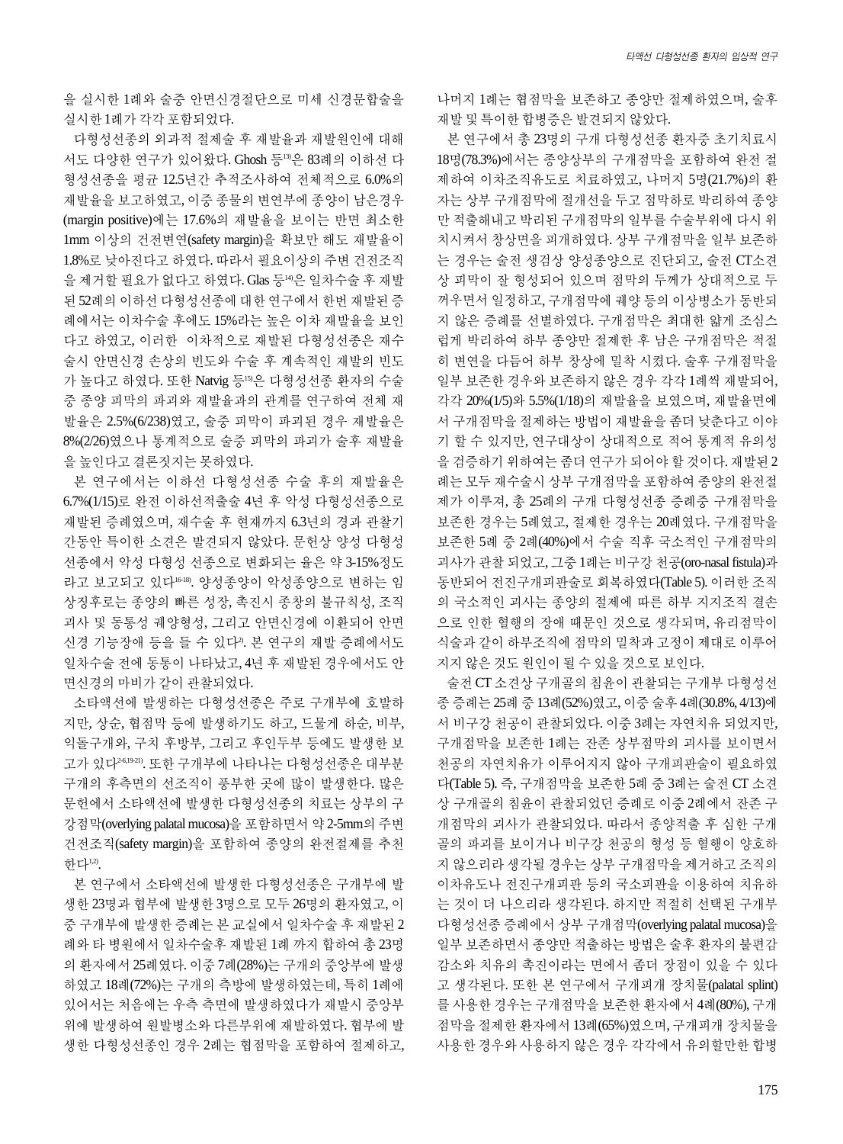을 실시한 1례와 술중 안면신경절단으로 미세 신경문합술을 실시한1례가각각포함되었다.

다형성선종의 외과적 절제술 후 재발율과 재발원인에 대해 서도 다양한 연구가 있어왔다. Ghosh 등13)은 83례의 이하선 다 형성선종을 평균 12.5년간 추적조사하여 전체적으로 6.0%의 재발율을 보고하였고, 이중 종물의 변연부에 종양이 남은경우 (margin positive)에는 17.6%의 재발율을 보이는 반면 최소한 1mm 이상의 건전변연(safety margin)을 확보만 해도 재발율이 1.8%로 낮아진다고 하였다. 따라서 필요이상의 주변 건전조직 을 제거할 필요가 없다고 하였다. Glas 등14)은 일차수술 후 재발 된 52례의 이하선 다형성선종에 대한 연구에서 한번 재발된 증 례에서는 이차수술 후에도 15%라는 높은 이차 재발율을 보인 다고 하였고, 이러한 이차적으로 재발된 다형성선종은 재수 술시 안면신경 손상의 빈도와 수술 후 계속적인 재발의 빈도 가 높다고 하였다. 또한 Natvig 등55은 다형성선종 환자의 수술 중 종양 피막의 파괴와 재발율과의 관계를 연구하여 전체 재 발율은 2.5%(6/238)였고, 술중 피막이 파괴된 경우 재발율은 8%(2/26)였으나 통계적으로 술중 피막의 파괴가 술후 재발율 을높인다고결론짓지는못하였다.

본 연구에서는 이하선 다형성선종 수술 후의 재발율은 6.7%(1/15)로 완전 이하선적출술 4년 후 악성 다형성선종으로 재발된 증례였으며, 재수술 후 현재까지 6.3년의 경과 관찰기 간동안 특이한 소견은 발견되지 않았다. 문헌상 양성 다형성 선종에서 악성 다형성 선종으로 변화되는 율은 약 3-15%정도 라고 보고되고 있다16-18). 양성종양이 악성종양으로 변하는 임 상징후로는 종양의 빠른 성장, 촉진시 종창의 불규칙성, 조직 괴사 및 동통성 궤양형성, 그리고 안면신경에 이환되어 안면 신경 기능장애 등을 들 수 있다2). 본 연구의 재발 증례에서도 일차수술 전에 동통이 나타났고, 4년 후 재발된 경우에서도 안 면신경의 마비가 같이 관찰되었다.

소타액선에 발생하는 다형성선종은 주로 구개부에 호발하 지만, 상순, 협점막 등에 발생하기도 하고, 드물게 하순, 비부, 익돌구개와, 구치 후방부, 그리고 후인두부 등에도 발생한 보 고가 있다2-6,19-21). 또한 구개부에 나타나는 다형성선종은 대부분 구개의 후측면의 선조직이 풍부한 곳에 많이 발생한다. 많은 문헌에서 소타액선에 발생한 다형성선종의 치료는 상부의 구 강점막(overlying palatal mucosa)을 포함하면서 약 2-5mm의 주변 건전조직(safety margin)을 포함하여 종양의 완전절제를 추천 하다!

본 연구에서 소타액선에 발생한 다형성선종은 구개부에 발 생한 23명과 협부에 발생한 3명으로 모두 26명의 환자였고, 이 중 구개부에 발생한 증례는 본 교실에서 일차수술 후 재발된 2 례와 타 병원에서 일차수술후 재발된 1례 까지 합하여 총 23명 의 환자에서 25례였다. 이중 7례(28%)는 구개의 중앙부에 발생 하였고 18례(72%)는 구개의 측방에 발생하였는데, 특히 1례에 있어서는 처음에는 우측 측면에 발생하였다가 재발시 중앙부 위에 발생하여 원발병소와 다른부위에 재발하였다. 협부에 발 생한 다형성선종인 경우 2례는 협점막을 포함하여 절제하고, 나머지 1례는 협점막을 보존하고 종양만 절제하였으며, 술후 재발및특이한합병증은발견되지않았다.

본 연구에서 총 23명의 구개 다형성선종 환자중 초기치료시 18명(78.3%)에서는 종양상부의 구개점막을 포함하여 완전 절 제하여 이차조직유도로 치료하였고, 나머지 5명(21.7%)의 환 자는 상부 구개점막에 절개선을 두고 점막하로 박리하여 종양 만 적출해내고 박리된 구개점막의 일부를 수술부위에 다시 위 치시켜서 창상면을 피개하였다. 상부 구개점막을 일부 보존하 는 경우는 술전 생검상 양성종양으로 진단되고, 술전 CT소견 상 피막이 잘 형성되어 있으며 점막의 두께가 상대적으로 두 꺼우면서 일정하고, 구개점막에 궤양 등의 이상병소가 동반되 지 않은 증례를 선별하였다. 구개점막은 최대한 얇게 조심스 럽게 박리하여 하부 종양만 절제한 후 남은 구개점막은 적절 히 변연을 다듬어 하부 창상에 밀착 시켰다. 술후 구개점막을 일부 보존한 경우와 보존하지 않은 경우 각각 1례씩 재발되어, 각각 20%(1/5)와 5.5%(1/18)의 재발율을 보였으며, 재발율면에 서 구개점막을 절제하는 방법이 재발율을 좀더 낮춘다고 이야 기 할 수 있지만, 연구대상이 상대적으로 적어 통계적 유의성 을검증하기위하여는좀더연구가되어야할것이다. 재발된2 례는 모두 재수술시 상부 구개점막을 포함하여 종양의 완전절 제가 이루져, 총 25례의 구개 다형성선종 증례중 구개점막을 보존한 경우는 5례였고, 절제한 경우는 20례였다. 구개점막을 보존한 5례 중 2례(40%)에서 수술 직후 국소적인 구개점막의 괴사가 관찰 되었고, 그중 1례는 비구강 천공(oro-nasal fistula)과 동반되어 전진구개피판술로 회복하였다(Table 5). 이러한 조직 의 국소적인 괴사는 종양의 절제에 따른 하부 지지조직 결손 으로 인한 혈행의 장애 때문인 것으로 생각되며, 유리점막이 식술과 같이 하부조직에 점막의 밀착과 고정이 제대로 이루어 지지않은것도원인이될수있을것으로보인다.

술전 CT 소견상 구개골의 침윤이 관찰되는 구개부 다형성선 종증례는25례중13례(52%)였고, 이중술후4례(30.8%, 4/13)에 서 비구강 천공이 관찰되었다. 이중 3례는 자연치유 되었지만, 구개점막을 보존한 1례는 잔존 상부점막의 괴사를 보이면서 천공의 자연치유가 이루어지지 않아 구개피판술이 필요하였 다(Table 5). 즉, 구개점막을 보존한 5례 중 3례는 술전 CT 소견 상 구개골의 침윤이 관찰되었던 증례로 이중 2례에서 잔존 구 개점막의 괴사가 관찰되었다. 따라서 종양적출 후 심한 구개 골의 파괴를 보이거나 비구강 천공의 형성 등 혈행이 양호하 지 않으리라 생각될 경우는 상부 구개점막을 제거하고 조직의 이차유도나 전진구개피판 등의 국소피판을 이용하여 치유하 는 것이 더 나으리라 생각된다. 하지만 적절히 선택된 구개부 다형성선종증례에서상부 구개점막(overlying palatal mucosa)을 일부 보존하면서 종양만 적출하는 방법은 술후 환자의 불편감 감소와 치유의 촉진이라는 면에서 좀더 장점이 있을 수 있다 고 생각된다. 또한 본 연구에서 구개피개 장치물(palatal splint) 를사용한경우는구개점막을보존한환자에서4례(80%), 구개 점막을절제한환자에서13례(65%)였으며, 구개피개장치물을 사용한 경우와 사용하지 않은 경우 각각에서 유의할만한 합병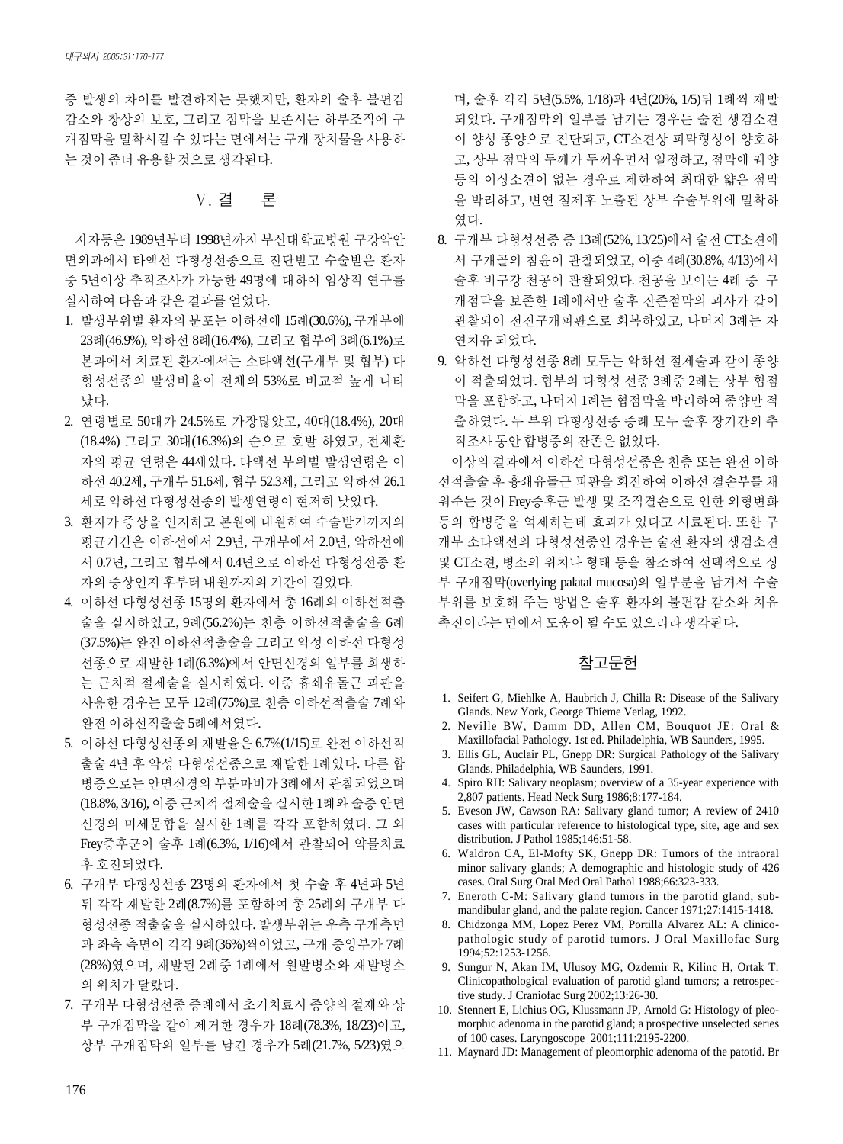증 발생의 차이를 발견하지는 못했지만, 환자의 술후 불편감 감소와 창상의 보호, 그리고 점막을 보존시는 하부조직에 구 개점막을 밀착시킬 수 있다는 면에서는 구개 장치물을 사용하 는것이좀더유용할것으로생각된다.

## Ⅴ. 결 론

저자등은 1989년부터 1998년까지 부산대학교병원 구강악안 면외과에서 타액선 다형성선종으로 진단받고 수술받은 환자 중 5년이상 추적조사가 가능한 49명에 대하여 임상적 연구를 실시하여다음과같은결과를얻었다.

- 1. 발생부위별 환자의 분포는 이하선에 15례(30.6%), 구개부에 23례(46.9%), 악하선 8례(16.4%), 그리고 협부에 3례(6.1%)로 본과에서 치료된 환자에서는 소타액선(구개부 및 협부) 다 형성선종의 발생비율이 전체의 53%로 비교적 높게 나타 났다.
- 2. 연령별로 50대가 24.5%로 가장많았고, 40대(18.4%), 20대 (18.4%) 그리고 30대(16.3%)의 순으로 호발 하였고, 전체환 자의 평균 연령은 44세였다. 타액선 부위별 발생연령은 이 하선 40.2세, 구개부 51.6세, 협부 52.3세, 그리고 악하선 26.1 세로 악하선 다형성선종의 발생연령이 현저히 낮았다.
- 3. 환자가 증상을 인지하고 본원에 내원하여 수술받기까지의 평균기간은 이하선에서 2.9년, 구개부에서 2.0년, 악하선에 서 0.7년, 그리고 협부에서 0.4년으로 이하선 다형성선종 환 자의증상인지후부터내원까지의기간이길었다.
- 4. 이하선 다형성선종 15명의 환자에서 총 16례의 이하선적출 술을 실시하였고, 9례(56.2%)는 천층 이하선적출술을 6례 (37.5%)는 완전 이하선적출술을 그리고 악성 이하선 다형성 선종으로 재발한 1례(6.3%)에서 안면신경의 일부를 희생하 는 근치적 절제술을 실시하였다. 이중 흉쇄유돌근 피판을 사용한 경우는 모두 12례(75%)로 천층 이하선적출술 7례와 완전이하선적출술5례에서였다.
- 5. 이하선다형성선종의재발율은 6.7%(1/15)로 완전이하선적 출술 4년 후 악성 다형성선종으로 재발한 1례였다. 다른 합 병증으로는 안면신경의 부분마비가 3례에서 관찰되었으며 (18.8%, 3/16), 이중근치적절제술을실시한1례와술중안면 신경의 미세문합을 실시한 1례를 각각 포함하였다. 그 외 Frey증후군이 술후 1례(6.3%, 1/16)에서 관찰되어 약물치료 후호전되었다.
- 6. 구개부 다형성선종 23명의 환자에서 첫 수술 후 4년과 5년 뒤 각각 재발한 2례(8.7%)를 포함하여 총 25례의 구개부 다 형성선종 적출술을 실시하였다. 발생부위는 우측 구개측면 과 좌측 측면이 각각 9례(36%)씩이었고, 구개 중앙부가 7례 (28%)였으며, 재발된 2례중 1례에서 원발병소와 재발병소 의위치가달랐다.
- 7. 구개부 다형성선종증례에서 초기치료시종양의 절제와 상 부 구개점막을 같이 제거한 경우가 18례(78.3%, 18/23)이고, 상부 구개점막의 일부를 남긴 경우가 5례(21.7%, 5/23)였으

며, 술후 각각 5년(5.5%, 1/18)과 4년(20%, 1/5)뒤 1례씩 재발 되었다. 구개점막의 일부를 남기는 경우는 술전 생검소견 이 양성 종양으로 진단되고, CT소견상 피막형성이 양호하 고, 상부 점막의 두께가 두꺼우면서 일정하고, 점막에 궤양 등의 이상소견이 없는 경우로 제한하여 최대한 얇은 점막 을 박리하고, 변연 절제후 노출된 상부 수술부위에 밀착하 였다.

- 8. 구개부 다형성선종 중 13례(52%, 13/25)에서 술전 CT소견에 서 구개골의 침윤이 관찰되었고, 이중 4례(30.8%, 4/13)에서 술후 비구강 천공이 관찰되었다. 천공을 보이는 4례중 구 개점막을 보존한 1례에서만 술후 잔존점막의 괴사가 같이 관찰되어 전진구개피판으로 회복하였고, 나머지 3례는 자 연치유 되었다.
- 9. 악하선 다형성선종 8례 모두는 악하선 절제술과 같이 종양 이 적출되었다. 협부의 다형성 선종 3례중 2례는 상부 협점 막을 포함하고, 나머지 1례는 협점막을 박리하여 종양만 적 출하였다. 두 부위 다형성선종 증례 모두 술후 장기간의 추 적조사동안합병증의잔존은없었다.

이상의 결과에서 이하선 다형성선종은 천층 또는 완전 이하 선적출술 후 흉쇄유돌근 피판을 회전하여 이하선 결손부를 채 워주는 것이 Frey증후군 발생 및 조직결손으로 인한 외형변화 등의 합병증을 억제하는데 효과가 있다고 사료된다. 또한 구 개부 소타액선의 다형성선종인 경우는 술전 환자의 생검소견 및 CT소견, 병소의 위치나 형태 등을 참조하여 선택적으로 상 부 구개점막(overlying palatal mucosa)의 일부분을 남겨서 수술 부위를 보호해 주는 방법은 술후 환자의 불편감 감소와 치유 촉진이라는 면에서 도움이 될 수도 있으리라 생각된다.

### 참고문헌

- 1. Seifert G, Miehlke A, Haubrich J, Chilla R: Disease of the Salivary Glands. New York, George Thieme Verlag, 1992.
- 2. Neville BW, Damm DD, Allen CM, Bouquot JE: Oral & Maxillofacial Pathology. 1st ed. Philadelphia, WB Saunders, 1995.
- 3. Ellis GL, Auclair PL, Gnepp DR: Surgical Pathology of the Salivary Glands. Philadelphia, WB Saunders, 1991.
- 4. Spiro RH: Salivary neoplasm; overview of a 35-year experience with 2,807 patients. Head Neck Surg 1986;8:177-184.
- 5. Eveson JW, Cawson RA: Salivary gland tumor; A review of 2410 cases with particular reference to histological type, site, age and sex distribution. J Pathol 1985;146:51-58.
- 6. Waldron CA, El-Mofty SK, Gnepp DR: Tumors of the intraoral minor salivary glands; A demographic and histologic study of 426 cases. Oral Surg Oral Med Oral Pathol 1988;66:323-333.
- 7. Eneroth C-M: Salivary gland tumors in the parotid gland, submandibular gland, and the palate region. Cancer 1971;27:1415-1418.
- 8. Chidzonga MM, Lopez Perez VM, Portilla Alvarez AL: A clinicopathologic study of parotid tumors. J Oral Maxillofac Surg 1994;52:1253-1256.
- 9. Sungur N, Akan IM, Ulusoy MG, Ozdemir R, Kilinc H, Ortak T: Clinicopathological evaluation of parotid gland tumors; a retrospective study. J Craniofac Surg 2002;13:26-30.
- 10. Stennert E, Lichius OG, Klussmann JP, Arnold G: Histology of pleomorphic adenoma in the parotid gland; a prospective unselected series of 100 cases. Laryngoscope 2001;111:2195-2200.
- 11. Maynard JD: Management of pleomorphic adenoma of the patotid. Br